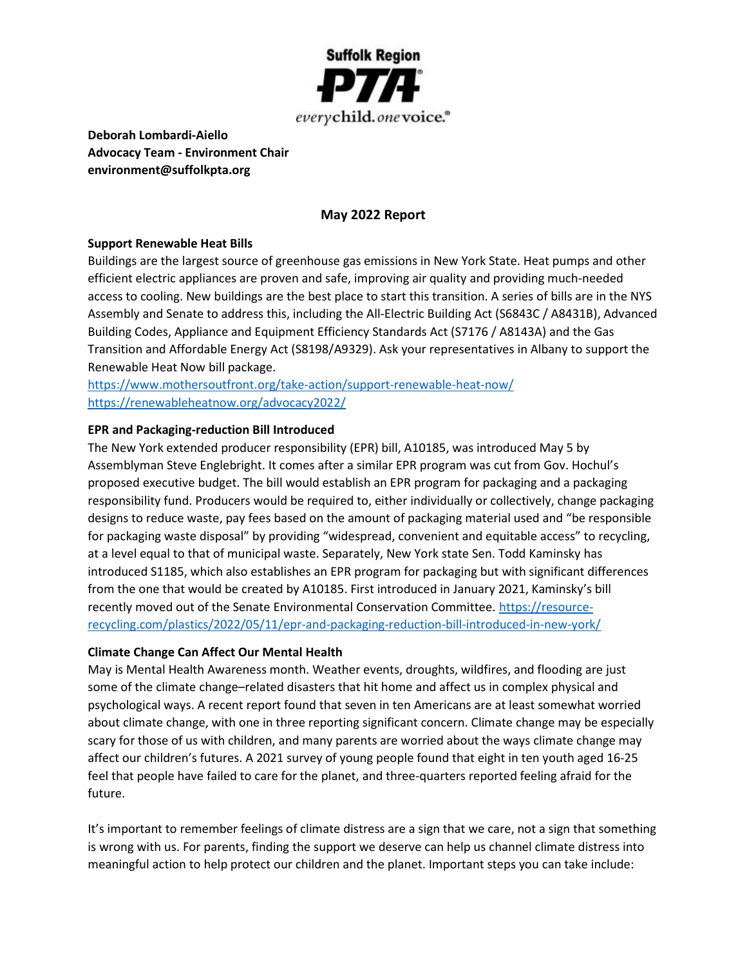

Deborah Lombardi-Aiello Advocacy Team - Environment Chair environment@suffolkpta.org

## May 2022 Report

#### Support Renewable Heat Bills

Buildings are the largest source of greenhouse gas emissions in New York State. Heat pumps and other efficient electric appliances are proven and safe, improving air quality and providing much-needed access to cooling. New buildings are the best place to start this transition. A series of bills are in the NYS Assembly and Senate to address this, including the All-Electric Building Act (S6843C / A8431B), Advanced Building Codes, Appliance and Equipment Efficiency Standards Act (S7176 / A8143A) and the Gas Transition and Affordable Energy Act (S8198/A9329). Ask your representatives in Albany to support the Renewable Heat Now bill package.

https://www.mothersoutfront.org/take-action/support-renewable-heat-now/ https://renewableheatnow.org/advocacy2022/

### EPR and Packaging-reduction Bill Introduced

The New York extended producer responsibility (EPR) bill, A10185, was introduced May 5 by Assemblyman Steve Englebright. It comes after a similar EPR program was cut from Gov. Hochul's proposed executive budget. The bill would establish an EPR program for packaging and a packaging responsibility fund. Producers would be required to, either individually or collectively, change packaging designs to reduce waste, pay fees based on the amount of packaging material used and "be responsible for packaging waste disposal" by providing "widespread, convenient and equitable access" to recycling, at a level equal to that of municipal waste. Separately, New York state Sen. Todd Kaminsky has introduced S1185, which also establishes an EPR program for packaging but with significant differences from the one that would be created by A10185. First introduced in January 2021, Kaminsky's bill recently moved out of the Senate Environmental Conservation Committee. https://resourcerecycling.com/plastics/2022/05/11/epr-and-packaging-reduction-bill-introduced-in-new-york/

#### Climate Change Can Affect Our Mental Health

May is Mental Health Awareness month. Weather events, droughts, wildfires, and flooding are just some of the climate change–related disasters that hit home and affect us in complex physical and psychological ways. A recent report found that seven in ten Americans are at least somewhat worried about climate change, with one in three reporting significant concern. Climate change may be especially scary for those of us with children, and many parents are worried about the ways climate change may affect our children's futures. A 2021 survey of young people found that eight in ten youth aged 16-25 feel that people have failed to care for the planet, and three-quarters reported feeling afraid for the future.

It's important to remember feelings of climate distress are a sign that we care, not a sign that something is wrong with us. For parents, finding the support we deserve can help us channel climate distress into meaningful action to help protect our children and the planet. Important steps you can take include: